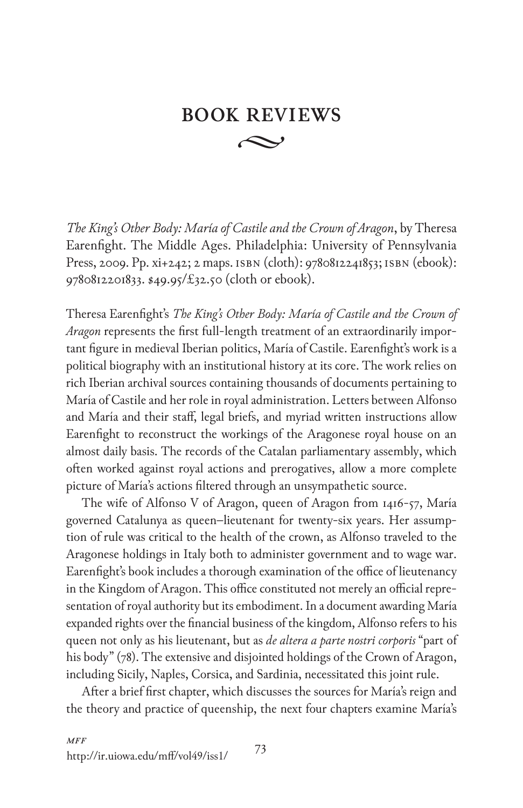## **BOOK REVIEWS**  $\curvearrowright$

*The King's Other Body: María of Castile and the Crown of Aragon*, by Theresa Earenfight. The Middle Ages. Philadelphia: University of Pennsylvania Press, 2009. Pp. xi+242; 2 maps. isbn (cloth): 9780812241853; isbn (ebook): 9780812201833. \$49.95/£32.50 (cloth or ebook).

Theresa Earenfight's *The King's Other Body: María of Castile and the Crown of Aragon* represents the first full-length treatment of an extraordinarily important figure in medieval Iberian politics, María of Castile. Earenfight's work is a political biography with an institutional history at its core. The work relies on rich Iberian archival sources containing thousands of documents pertaining to María of Castile and her role in royal administration. Letters between Alfonso and María and their staff, legal briefs, and myriad written instructions allow Earenfight to reconstruct the workings of the Aragonese royal house on an almost daily basis. The records of the Catalan parliamentary assembly, which often worked against royal actions and prerogatives, allow a more complete picture of María's actions filtered through an unsympathetic source.

The wife of Alfonso V of Aragon, queen of Aragon from 1416-57, María governed Catalunya as queen–lieutenant for twenty-six years. Her assumption of rule was critical to the health of the crown, as Alfonso traveled to the Aragonese holdings in Italy both to administer government and to wage war. Earenfight's book includes a thorough examination of the office of lieutenancy in the Kingdom of Aragon. This office constituted not merely an official representation of royal authority but its embodiment. In a document awarding María expanded rights over the financial business of the kingdom, Alfonso refers to his queen not only as his lieutenant, but as *de altera a parte nostri corporis* "part of his body" (78). The extensive and disjointed holdings of the Crown of Aragon, including Sicily, Naples, Corsica, and Sardinia, necessitated this joint rule.

After a brief first chapter, which discusses the sources for María's reign and the theory and practice of queenship, the next four chapters examine María's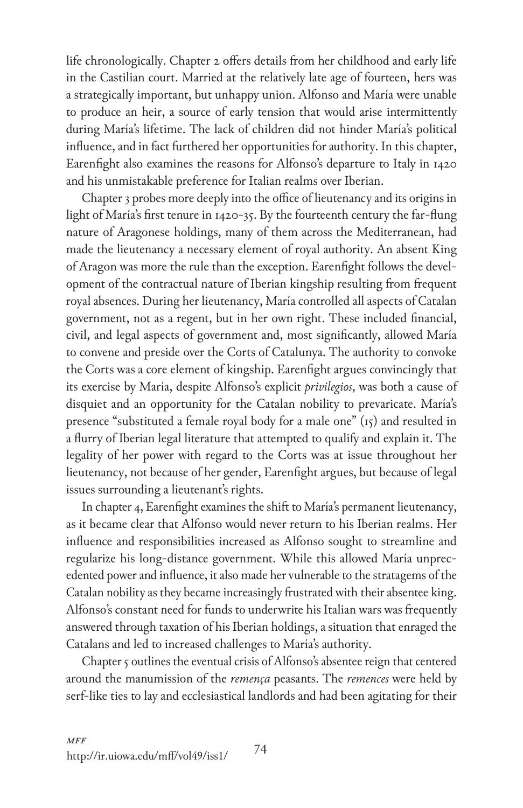life chronologically. Chapter 2 offers details from her childhood and early life in the Castilian court. Married at the relatively late age of fourteen, hers was a strategically important, but unhappy union. Alfonso and María were unable to produce an heir, a source of early tension that would arise intermittently during María's lifetime. The lack of children did not hinder María's political influence, and in fact furthered her opportunities for authority. In this chapter, Earenfight also examines the reasons for Alfonso's departure to Italy in 1420 and his unmistakable preference for Italian realms over Iberian.

Chapter 3 probes more deeply into the office of lieutenancy and its origins in light of María's first tenure in 1420-35. By the fourteenth century the far-flung nature of Aragonese holdings, many of them across the Mediterranean, had made the lieutenancy a necessary element of royal authority. An absent King of Aragon was more the rule than the exception. Earenfight follows the development of the contractual nature of Iberian kingship resulting from frequent royal absences. During her lieutenancy, María controlled all aspects of Catalan government, not as a regent, but in her own right. These included financial, civil, and legal aspects of government and, most significantly, allowed María to convene and preside over the Corts of Catalunya. The authority to convoke the Corts was a core element of kingship. Earenfight argues convincingly that its exercise by María, despite Alfonso's explicit *privilegios*, was both a cause of disquiet and an opportunity for the Catalan nobility to prevaricate. María's presence "substituted a female royal body for a male one" (15) and resulted in a flurry of Iberian legal literature that attempted to qualify and explain it. The legality of her power with regard to the Corts was at issue throughout her lieutenancy, not because of her gender, Earenfight argues, but because of legal issues surrounding a lieutenant's rights.

In chapter 4, Earenfight examines the shift to María's permanent lieutenancy, as it became clear that Alfonso would never return to his Iberian realms. Her influence and responsibilities increased as Alfonso sought to streamline and regularize his long-distance government. While this allowed María unprecedented power and influence, it also made her vulnerable to the stratagems of the Catalan nobility as they became increasingly frustrated with their absentee king. Alfonso's constant need for funds to underwrite his Italian wars was frequently answered through taxation of his Iberian holdings, a situation that enraged the Catalans and led to increased challenges to María's authority.

Chapter 5 outlines the eventual crisis of Alfonso's absentee reign that centered around the manumission of the *remença* peasants. The *remences* were held by serf-like ties to lay and ecclesiastical landlords and had been agitating for their